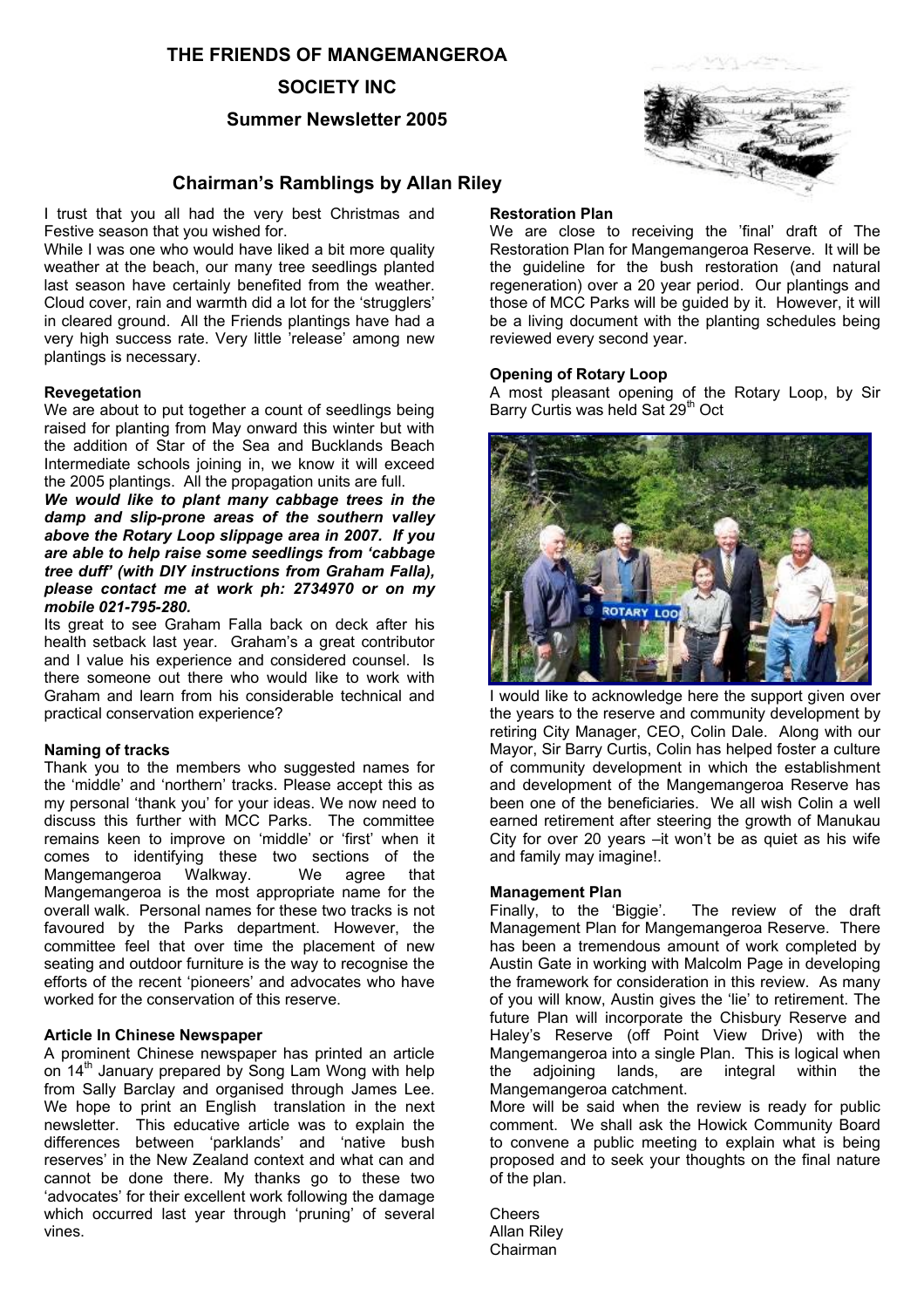### **THE FRIENDS OF MANGEMANGEROA**

### **SOCIETY INC**

### **Summer Newsletter 2005**

# **Chairman's Ramblings by Allan Riley**

I trust that you all had the very best Christmas and Festive season that you wished for.

While I was one who would have liked a bit more quality weather at the beach, our many tree seedlings planted last season have certainly benefited from the weather. Cloud cover, rain and warmth did a lot for the 'strugglers' in cleared ground. All the Friends plantings have had a very high success rate. Very little 'release' among new plantings is necessary.

#### **Revegetation**

We are about to put together a count of seedlings being raised for planting from May onward this winter but with the addition of Star of the Sea and Bucklands Beach Intermediate schools joining in, we know it will exceed the 2005 plantings. All the propagation units are full.

*We would like to plant many cabbage trees in the damp and slip-prone areas of the southern valley above the Rotary Loop slippage area in 2007. If you are able to help raise some seedlings from 'cabbage tree duff' (with DIY instructions from Graham Falla), please contact me at work ph: 2734970 or on my mobile 021-795-280.*

Its great to see Graham Falla back on deck after his health setback last year. Graham's a great contributor and I value his experience and considered counsel. Is there someone out there who would like to work with Graham and learn from his considerable technical and practical conservation experience?

#### **Naming of tracks**

Thank you to the members who suggested names for the 'middle' and 'northern' tracks. Please accept this as my personal 'thank you' for your ideas. We now need to discuss this further with MCC Parks. The committee remains keen to improve on 'middle' or 'first' when it comes to identifying these two sections of the Mangemangeroa Walkway. We agree that Mangemangeroa is the most appropriate name for the overall walk. Personal names for these two tracks is not favoured by the Parks department. However, the committee feel that over time the placement of new seating and outdoor furniture is the way to recognise the efforts of the recent 'pioneers' and advocates who have worked for the conservation of this reserve.

### **Article In Chinese Newspaper**

A prominent Chinese newspaper has printed an article on 14<sup>th</sup> January prepared by Song Lam Wong with help from Sally Barclay and organised through James Lee. We hope to print an English translation in the next newsletter. This educative article was to explain the differences between 'parklands' and 'native bush reserves' in the New Zealand context and what can and cannot be done there. My thanks go to these two 'advocates' for their excellent work following the damage which occurred last year through 'pruning' of several vines.

#### **Restoration Plan**

We are close to receiving the 'final' draft of The Restoration Plan for Mangemangeroa Reserve. It will be the guideline for the bush restoration (and natural regeneration) over a 20 year period. Our plantings and those of MCC Parks will be guided by it. However, it will be a living document with the planting schedules being reviewed every second year.

#### **Opening of Rotary Loop**

A most pleasant opening of the Rotary Loop, by Sir Barry Curtis was held Sat 29<sup>th</sup> Oct



I would like to acknowledge here the support given over the years to the reserve and community development by retiring City Manager, CEO, Colin Dale. Along with our Mayor, Sir Barry Curtis, Colin has helped foster a culture of community development in which the establishment and development of the Mangemangeroa Reserve has been one of the beneficiaries. We all wish Colin a well earned retirement after steering the growth of Manukau City for over 20 years –it won't be as quiet as his wife and family may imagine!.

#### **Management Plan**

Finally, to the 'Biggie'. The review of the draft Management Plan for Mangemangeroa Reserve. There has been a tremendous amount of work completed by Austin Gate in working with Malcolm Page in developing the framework for consideration in this review. As many of you will know, Austin gives the 'lie' to retirement. The future Plan will incorporate the Chisbury Reserve and Haley's Reserve (off Point View Drive) with the Mangemangeroa into a single Plan. This is logical when the adjoining lands, are integral within the Mangemangeroa catchment.

More will be said when the review is ready for public comment. We shall ask the Howick Community Board to convene a public meeting to explain what is being proposed and to seek your thoughts on the final nature of the plan.

**Cheers** Allan Riley Chairman

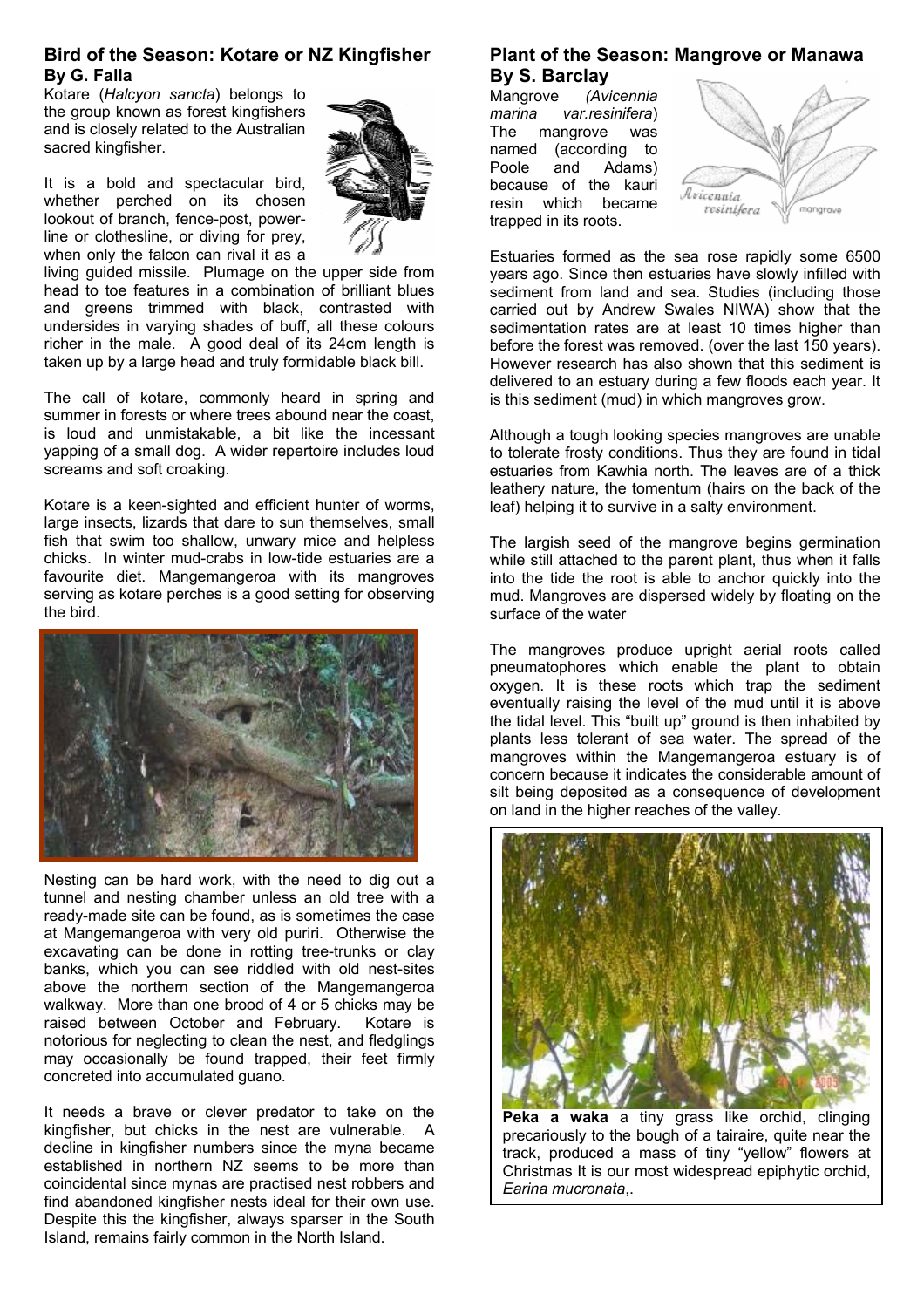### **Bird of the Season: Kotare or NZ Kingfisher By G. Falla**

Kotare (*Halcyon sancta*) belongs to the group known as forest kingfishers and is closely related to the Australian sacred kingfisher.

It is a bold and spectacular bird, whether perched on its chosen lookout of branch, fence-post, powerline or clothesline, or diving for prey, when only the falcon can rival it as a

living guided missile. Plumage on the upper side from head to toe features in a combination of brilliant blues and greens trimmed with black, contrasted with undersides in varying shades of buff, all these colours richer in the male. A good deal of its 24cm length is taken up by a large head and truly formidable black bill.

The call of kotare, commonly heard in spring and summer in forests or where trees abound near the coast. is loud and unmistakable, a bit like the incessant yapping of a small dog. A wider repertoire includes loud screams and soft croaking.

Kotare is a keen-sighted and efficient hunter of worms, large insects, lizards that dare to sun themselves, small fish that swim too shallow, unwary mice and helpless chicks. In winter mud-crabs in low-tide estuaries are a favourite diet. Mangemangeroa with its mangroves serving as kotare perches is a good setting for observing the bird.



Nesting can be hard work, with the need to dig out a tunnel and nesting chamber unless an old tree with a ready-made site can be found, as is sometimes the case at Mangemangeroa with very old puriri. Otherwise the excavating can be done in rotting tree-trunks or clay banks, which you can see riddled with old nest-sites above the northern section of the Mangemangeroa walkway. More than one brood of 4 or 5 chicks may be raised between October and February. Kotare is notorious for neglecting to clean the nest, and fledglings may occasionally be found trapped, their feet firmly concreted into accumulated guano.

It needs a brave or clever predator to take on the kingfisher, but chicks in the nest are vulnerable. A decline in kingfisher numbers since the myna became established in northern NZ seems to be more than coincidental since mynas are practised nest robbers and find abandoned kingfisher nests ideal for their own use. Despite this the kingfisher, always sparser in the South Island, remains fairly common in the North Island.

### **Plant of the Season: Mangrove or Manawa By S. Barclay**

Mangrove *(Avicennia marina var.resinifera*) The mangrove was named (according to Poole and Adams) because of the kauri resin which became trapped in its roots.



Estuaries formed as the sea rose rapidly some 6500 years ago. Since then estuaries have slowly infilled with sediment from land and sea. Studies (including those carried out by Andrew Swales NIWA) show that the sedimentation rates are at least 10 times higher than before the forest was removed. (over the last 150 years). However research has also shown that this sediment is delivered to an estuary during a few floods each year. It is this sediment (mud) in which mangroves grow.

Although a tough looking species mangroves are unable to tolerate frosty conditions. Thus they are found in tidal estuaries from Kawhia north. The leaves are of a thick leathery nature, the tomentum (hairs on the back of the leaf) helping it to survive in a salty environment.

The largish seed of the mangrove begins germination while still attached to the parent plant, thus when it falls into the tide the root is able to anchor quickly into the mud. Mangroves are dispersed widely by floating on the surface of the water

The mangroves produce upright aerial roots called pneumatophores which enable the plant to obtain oxygen. It is these roots which trap the sediment eventually raising the level of the mud until it is above the tidal level. This "built up" ground is then inhabited by plants less tolerant of sea water. The spread of the mangroves within the Mangemangeroa estuary is of concern because it indicates the considerable amount of silt being deposited as a consequence of development on land in the higher reaches of the valley.



**Peka a waka** a tiny grass like orchid, clinging precariously to the bough of a tairaire, quite near the track, produced a mass of tiny "yellow" flowers at Christmas It is our most widespread epiphytic orchid, *Earina mucronata*,.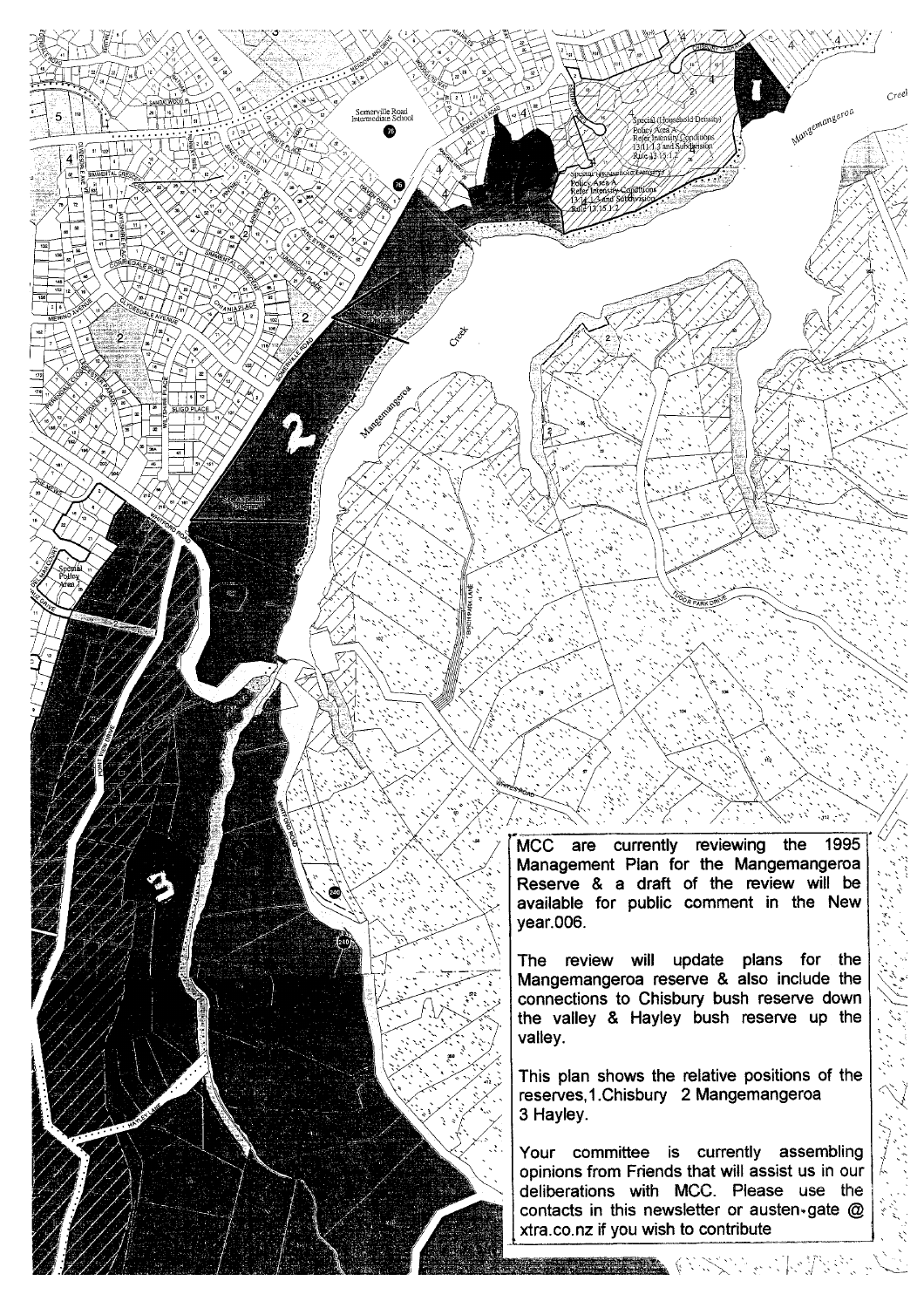MCC are currently reviewing the 1995 Management Plan for the Mangemangeroa Reserve & a draft of the review will be available for public comment in the New year.006.

Creel

Mangemangeroa

The review will update plans for the Mangemangeroa reserve & also include the connections to Chisbury bush reserve down the valley & Hayley bush reserve up the valley.

This plan shows the relative positions of the reserves, 1. Chisbury 2 Mangemangeroa 3 Hayley.

Your committee is currently assembling opinions from Friends that will assist us in our deliberations with MCC. Please use the contacts in this newsletter or austen-gate @ xtra.co.nz if you wish to contribute

**The Secretary Communication**